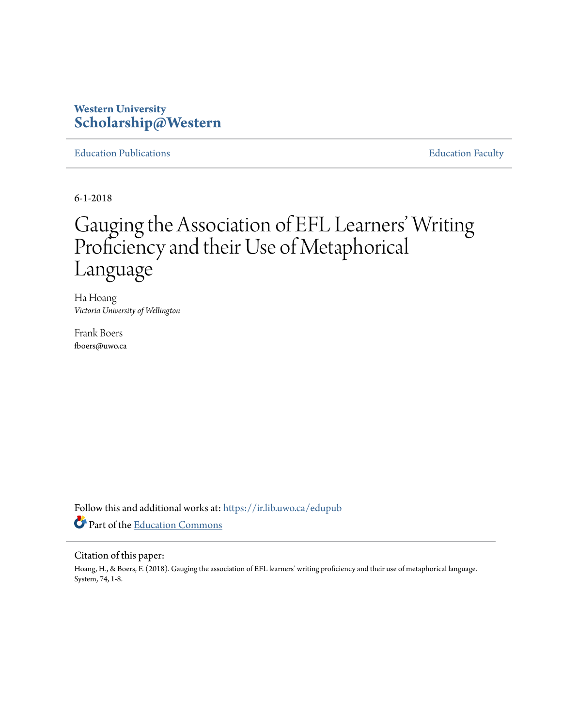# **Western University [Scholarship@Western](https://ir.lib.uwo.ca?utm_source=ir.lib.uwo.ca%2Fedupub%2F101&utm_medium=PDF&utm_campaign=PDFCoverPages)**

[Education Publications](https://ir.lib.uwo.ca/edupub?utm_source=ir.lib.uwo.ca%2Fedupub%2F101&utm_medium=PDF&utm_campaign=PDFCoverPages) **[Education Faculty](https://ir.lib.uwo.ca/edu?utm_source=ir.lib.uwo.ca%2Fedupub%2F101&utm_medium=PDF&utm_campaign=PDFCoverPages)** 

6-1-2018

# Gauging the Association of EFL Learners' Writing Proficiency and their Use of Metaphorical Language

Ha Hoang *Victoria University of Wellington*

Frank Boers fboers@uwo.ca

Follow this and additional works at: [https://ir.lib.uwo.ca/edupub](https://ir.lib.uwo.ca/edupub?utm_source=ir.lib.uwo.ca%2Fedupub%2F101&utm_medium=PDF&utm_campaign=PDFCoverPages) Part of the [Education Commons](http://network.bepress.com/hgg/discipline/784?utm_source=ir.lib.uwo.ca%2Fedupub%2F101&utm_medium=PDF&utm_campaign=PDFCoverPages)

# Citation of this paper:

Hoang, H., & Boers, F. (2018). Gauging the association of EFL learners' writing proficiency and their use of metaphorical language. System, 74, 1-8.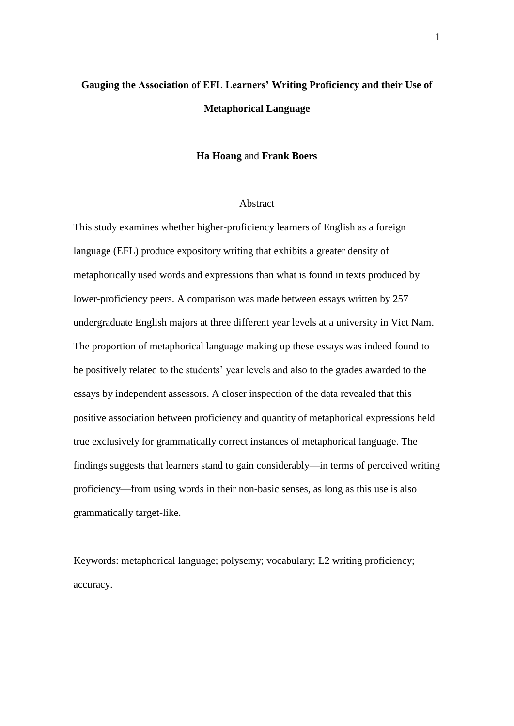# **Gauging the Association of EFL Learners' Writing Proficiency and their Use of Metaphorical Language**

# **Ha Hoang** and **Frank Boers**

# Abstract

This study examines whether higher-proficiency learners of English as a foreign language (EFL) produce expository writing that exhibits a greater density of metaphorically used words and expressions than what is found in texts produced by lower-proficiency peers. A comparison was made between essays written by 257 undergraduate English majors at three different year levels at a university in Viet Nam. The proportion of metaphorical language making up these essays was indeed found to be positively related to the students' year levels and also to the grades awarded to the essays by independent assessors. A closer inspection of the data revealed that this positive association between proficiency and quantity of metaphorical expressions held true exclusively for grammatically correct instances of metaphorical language. The findings suggests that learners stand to gain considerably—in terms of perceived writing proficiency—from using words in their non-basic senses, as long as this use is also grammatically target-like.

Keywords: metaphorical language; polysemy; vocabulary; L2 writing proficiency; accuracy.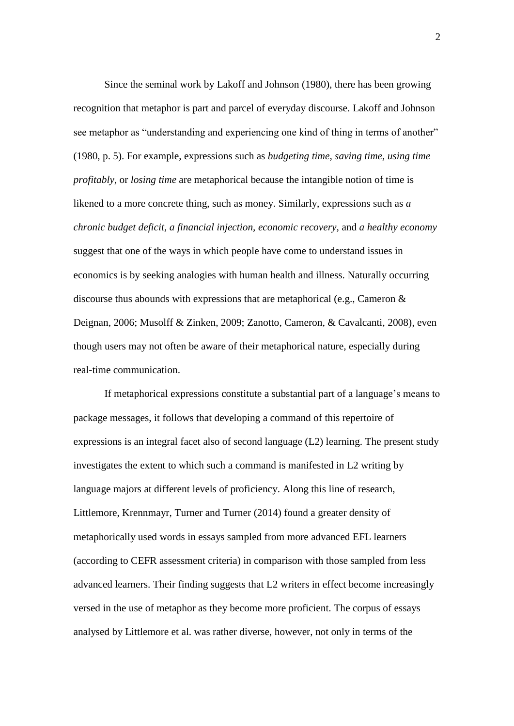Since the seminal work by Lakoff and Johnson (1980), there has been growing recognition that metaphor is part and parcel of everyday discourse. Lakoff and Johnson see metaphor as "understanding and experiencing one kind of thing in terms of another" (1980, p. 5). For example, expressions such as *budgeting time, saving time, using time profitably,* or *losing time* are metaphorical because the intangible notion of time is likened to a more concrete thing, such as money. Similarly, expressions such as *a chronic budget deficit, a financial injection, economic recovery*, and *a healthy economy* suggest that one of the ways in which people have come to understand issues in economics is by seeking analogies with human health and illness. Naturally occurring discourse thus abounds with expressions that are metaphorical (e.g., Cameron & Deignan, 2006; Musolff & Zinken, 2009; Zanotto, Cameron, & Cavalcanti, 2008), even though users may not often be aware of their metaphorical nature, especially during real-time communication.

If metaphorical expressions constitute a substantial part of a language's means to package messages, it follows that developing a command of this repertoire of expressions is an integral facet also of second language (L2) learning. The present study investigates the extent to which such a command is manifested in L2 writing by language majors at different levels of proficiency. Along this line of research, Littlemore, Krennmayr, Turner and Turner (2014) found a greater density of metaphorically used words in essays sampled from more advanced EFL learners (according to CEFR assessment criteria) in comparison with those sampled from less advanced learners. Their finding suggests that L2 writers in effect become increasingly versed in the use of metaphor as they become more proficient. The corpus of essays analysed by Littlemore et al. was rather diverse, however, not only in terms of the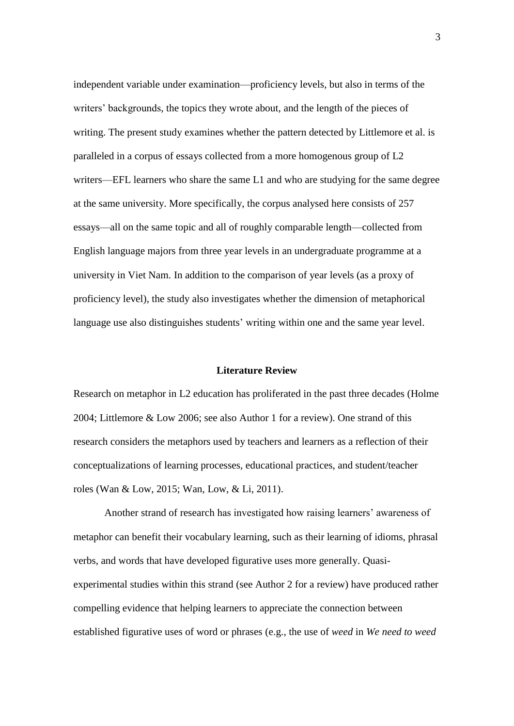independent variable under examination—proficiency levels, but also in terms of the writers' backgrounds, the topics they wrote about, and the length of the pieces of writing. The present study examines whether the pattern detected by Littlemore et al. is paralleled in a corpus of essays collected from a more homogenous group of L2 writers—EFL learners who share the same L1 and who are studying for the same degree at the same university. More specifically, the corpus analysed here consists of 257 essays—all on the same topic and all of roughly comparable length—collected from English language majors from three year levels in an undergraduate programme at a university in Viet Nam. In addition to the comparison of year levels (as a proxy of proficiency level), the study also investigates whether the dimension of metaphorical language use also distinguishes students' writing within one and the same year level.

# **Literature Review**

Research on metaphor in L2 education has proliferated in the past three decades (Holme 2004; Littlemore & Low 2006; see also Author 1 for a review). One strand of this research considers the metaphors used by teachers and learners as a reflection of their conceptualizations of learning processes, educational practices, and student/teacher roles (Wan & Low, 2015; Wan, Low, & Li, 2011).

Another strand of research has investigated how raising learners' awareness of metaphor can benefit their vocabulary learning, such as their learning of idioms, phrasal verbs, and words that have developed figurative uses more generally. Quasiexperimental studies within this strand (see Author 2 for a review) have produced rather compelling evidence that helping learners to appreciate the connection between established figurative uses of word or phrases (e.g., the use of *weed* in *We need to weed*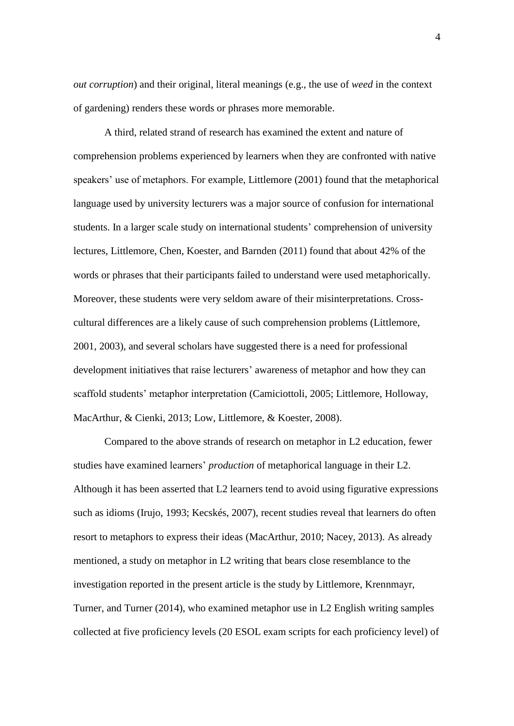*out corruption*) and their original, literal meanings (e.g., the use of *weed* in the context of gardening) renders these words or phrases more memorable.

A third, related strand of research has examined the extent and nature of comprehension problems experienced by learners when they are confronted with native speakers' use of metaphors. For example, Littlemore (2001) found that the metaphorical language used by university lecturers was a major source of confusion for international students. In a larger scale study on international students' comprehension of university lectures, Littlemore, Chen, Koester, and Barnden (2011) found that about 42% of the words or phrases that their participants failed to understand were used metaphorically. Moreover, these students were very seldom aware of their misinterpretations. Crosscultural differences are a likely cause of such comprehension problems (Littlemore, 2001, 2003), and several scholars have suggested there is a need for professional development initiatives that raise lecturers' awareness of metaphor and how they can scaffold students' metaphor interpretation (Camiciottoli, 2005; Littlemore, Holloway, MacArthur, & Cienki, 2013; Low, Littlemore, & Koester, 2008).

Compared to the above strands of research on metaphor in L2 education, fewer studies have examined learners' *production* of metaphorical language in their L2. Although it has been asserted that L2 learners tend to avoid using figurative expressions such as idioms (Irujo, 1993; Kecskés, 2007), recent studies reveal that learners do often resort to metaphors to express their ideas (MacArthur, 2010; Nacey, 2013). As already mentioned, a study on metaphor in L2 writing that bears close resemblance to the investigation reported in the present article is the study by Littlemore, Krennmayr, Turner, and Turner (2014), who examined metaphor use in L2 English writing samples collected at five proficiency levels (20 ESOL exam scripts for each proficiency level) of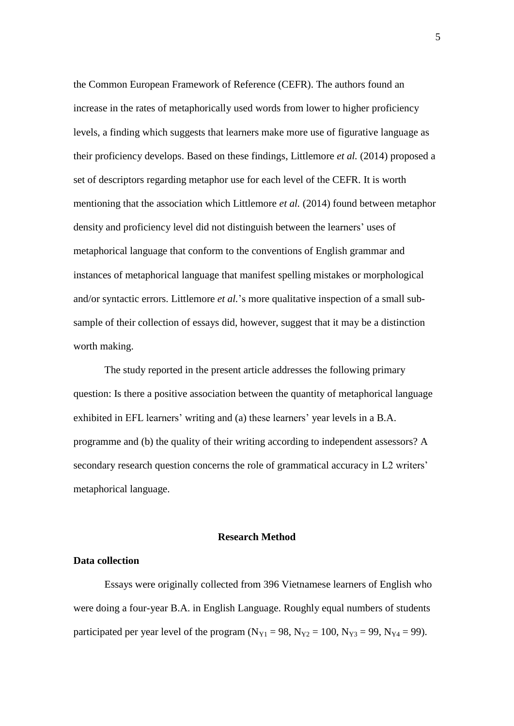the Common European Framework of Reference (CEFR). The authors found an increase in the rates of metaphorically used words from lower to higher proficiency levels, a finding which suggests that learners make more use of figurative language as their proficiency develops. Based on these findings, Littlemore *et al.* (2014) proposed a set of descriptors regarding metaphor use for each level of the CEFR. It is worth mentioning that the association which Littlemore *et al.* (2014) found between metaphor density and proficiency level did not distinguish between the learners' uses of metaphorical language that conform to the conventions of English grammar and instances of metaphorical language that manifest spelling mistakes or morphological and/or syntactic errors. Littlemore *et al.*'s more qualitative inspection of a small subsample of their collection of essays did, however, suggest that it may be a distinction worth making.

The study reported in the present article addresses the following primary question: Is there a positive association between the quantity of metaphorical language exhibited in EFL learners' writing and (a) these learners' year levels in a B.A. programme and (b) the quality of their writing according to independent assessors? A secondary research question concerns the role of grammatical accuracy in L2 writers' metaphorical language.

#### **Research Method**

# **Data collection**

Essays were originally collected from 396 Vietnamese learners of English who were doing a four-year B.A. in English Language. Roughly equal numbers of students participated per year level of the program  $(N_{Y1} = 98, N_{Y2} = 100, N_{Y3} = 99, N_{Y4} = 99)$ .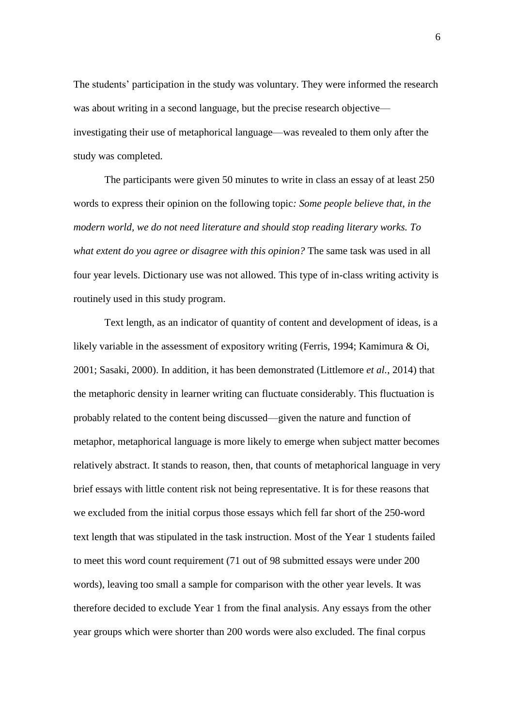The students' participation in the study was voluntary. They were informed the research was about writing in a second language, but the precise research objective investigating their use of metaphorical language—was revealed to them only after the study was completed.

The participants were given 50 minutes to write in class an essay of at least 250 words to express their opinion on the following topic*: Some people believe that, in the modern world, we do not need literature and should stop reading literary works. To what extent do you agree or disagree with this opinion?* The same task was used in all four year levels. Dictionary use was not allowed. This type of in-class writing activity is routinely used in this study program.

Text length, as an indicator of quantity of content and development of ideas, is a likely variable in the assessment of expository writing (Ferris, 1994; Kamimura & Oi, 2001; Sasaki, 2000). In addition, it has been demonstrated (Littlemore *et al.*, 2014) that the metaphoric density in learner writing can fluctuate considerably. This fluctuation is probably related to the content being discussed—given the nature and function of metaphor, metaphorical language is more likely to emerge when subject matter becomes relatively abstract. It stands to reason, then, that counts of metaphorical language in very brief essays with little content risk not being representative. It is for these reasons that we excluded from the initial corpus those essays which fell far short of the 250-word text length that was stipulated in the task instruction. Most of the Year 1 students failed to meet this word count requirement (71 out of 98 submitted essays were under 200 words), leaving too small a sample for comparison with the other year levels. It was therefore decided to exclude Year 1 from the final analysis. Any essays from the other year groups which were shorter than 200 words were also excluded. The final corpus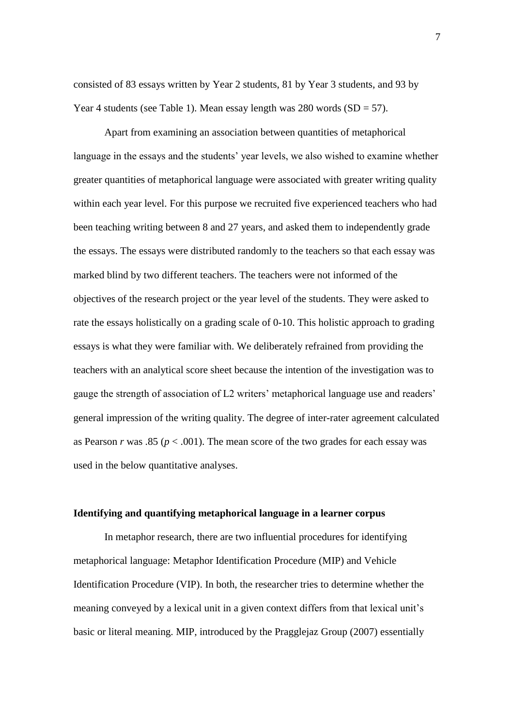consisted of 83 essays written by Year 2 students, 81 by Year 3 students, and 93 by Year 4 students (see Table 1). Mean essay length was  $280$  words  $(SD = 57)$ .

Apart from examining an association between quantities of metaphorical language in the essays and the students' year levels, we also wished to examine whether greater quantities of metaphorical language were associated with greater writing quality within each year level. For this purpose we recruited five experienced teachers who had been teaching writing between 8 and 27 years, and asked them to independently grade the essays. The essays were distributed randomly to the teachers so that each essay was marked blind by two different teachers. The teachers were not informed of the objectives of the research project or the year level of the students. They were asked to rate the essays holistically on a grading scale of 0-10. This holistic approach to grading essays is what they were familiar with. We deliberately refrained from providing the teachers with an analytical score sheet because the intention of the investigation was to gauge the strength of association of L2 writers' metaphorical language use and readers' general impression of the writing quality. The degree of inter-rater agreement calculated as Pearson  $r$  was .85 ( $p < .001$ ). The mean score of the two grades for each essay was used in the below quantitative analyses.

# **Identifying and quantifying metaphorical language in a learner corpus**

In metaphor research, there are two influential procedures for identifying metaphorical language: Metaphor Identification Procedure (MIP) and Vehicle Identification Procedure (VIP). In both, the researcher tries to determine whether the meaning conveyed by a lexical unit in a given context differs from that lexical unit's basic or literal meaning. MIP, introduced by the Pragglejaz Group (2007) essentially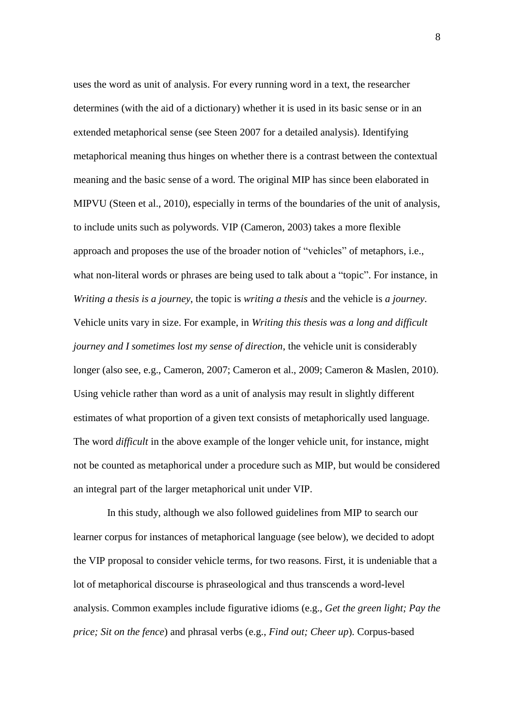uses the word as unit of analysis. For every running word in a text, the researcher determines (with the aid of a dictionary) whether it is used in its basic sense or in an extended metaphorical sense (see Steen 2007 for a detailed analysis). Identifying metaphorical meaning thus hinges on whether there is a contrast between the contextual meaning and the basic sense of a word. The original MIP has since been elaborated in MIPVU (Steen et al., 2010), especially in terms of the boundaries of the unit of analysis, to include units such as polywords. VIP (Cameron, 2003) takes a more flexible approach and proposes the use of the broader notion of "vehicles" of metaphors, i.e., what non-literal words or phrases are being used to talk about a "topic". For instance, in *Writing a thesis is a journey*, the topic is *writing a thesis* and the vehicle is *a journey*. Vehicle units vary in size. For example, in *Writing this thesis was a long and difficult journey and I sometimes lost my sense of direction*, the vehicle unit is considerably longer (also see, e.g., Cameron, 2007; Cameron et al., 2009; Cameron & Maslen, 2010). Using vehicle rather than word as a unit of analysis may result in slightly different estimates of what proportion of a given text consists of metaphorically used language. The word *difficult* in the above example of the longer vehicle unit, for instance, might not be counted as metaphorical under a procedure such as MIP, but would be considered an integral part of the larger metaphorical unit under VIP.

In this study, although we also followed guidelines from MIP to search our learner corpus for instances of metaphorical language (see below), we decided to adopt the VIP proposal to consider vehicle terms, for two reasons. First, it is undeniable that a lot of metaphorical discourse is phraseological and thus transcends a word-level analysis. Common examples include figurative idioms (e.g., *Get the green light; Pay the price; Sit on the fence*) and phrasal verbs (e.g., *Find out; Cheer up*)*.* Corpus-based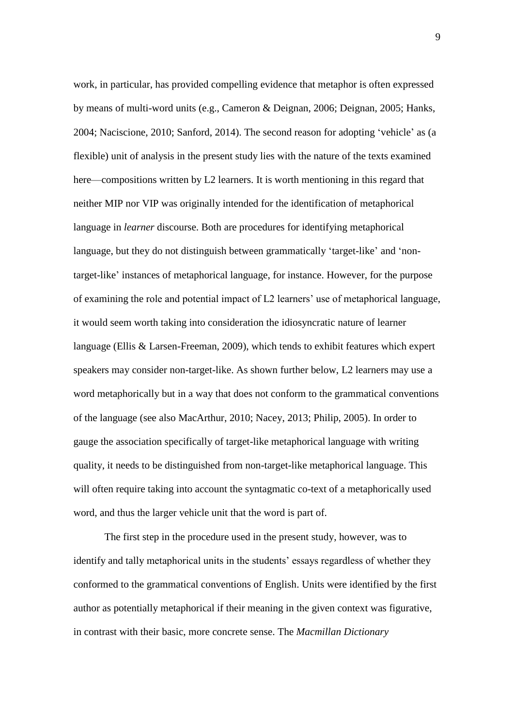work, in particular, has provided compelling evidence that metaphor is often expressed by means of multi-word units (e.g., Cameron & Deignan, 2006; Deignan, 2005; Hanks, 2004; Naciscione, 2010; Sanford, 2014). The second reason for adopting 'vehicle' as (a flexible) unit of analysis in the present study lies with the nature of the texts examined here—compositions written by L2 learners. It is worth mentioning in this regard that neither MIP nor VIP was originally intended for the identification of metaphorical language in *learner* discourse. Both are procedures for identifying metaphorical language, but they do not distinguish between grammatically 'target-like' and 'nontarget-like' instances of metaphorical language, for instance. However, for the purpose of examining the role and potential impact of L2 learners' use of metaphorical language, it would seem worth taking into consideration the idiosyncratic nature of learner language (Ellis & Larsen-Freeman, 2009), which tends to exhibit features which expert speakers may consider non-target-like. As shown further below, L2 learners may use a word metaphorically but in a way that does not conform to the grammatical conventions of the language (see also MacArthur, 2010; Nacey, 2013; Philip, 2005). In order to gauge the association specifically of target-like metaphorical language with writing quality, it needs to be distinguished from non-target-like metaphorical language. This will often require taking into account the syntagmatic co-text of a metaphorically used word, and thus the larger vehicle unit that the word is part of.

The first step in the procedure used in the present study, however, was to identify and tally metaphorical units in the students' essays regardless of whether they conformed to the grammatical conventions of English. Units were identified by the first author as potentially metaphorical if their meaning in the given context was figurative, in contrast with their basic, more concrete sense. The *Macmillan Dictionary*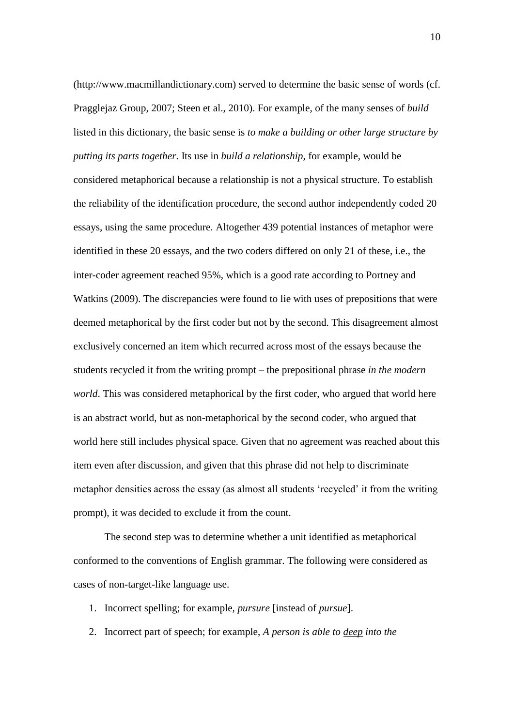(http://www.macmillandictionary.com) served to determine the basic sense of words (cf. Pragglejaz Group, 2007; Steen et al., 2010). For example, of the many senses of *build* listed in this dictionary, the basic sense is *to make a building or other large structure by putting its parts together*. Its use in *build a relationship*, for example, would be considered metaphorical because a relationship is not a physical structure. To establish the reliability of the identification procedure, the second author independently coded 20 essays, using the same procedure. Altogether 439 potential instances of metaphor were identified in these 20 essays, and the two coders differed on only 21 of these, i.e., the inter-coder agreement reached 95%, which is a good rate according to Portney and Watkins (2009). The discrepancies were found to lie with uses of prepositions that were deemed metaphorical by the first coder but not by the second. This disagreement almost exclusively concerned an item which recurred across most of the essays because the students recycled it from the writing prompt – the prepositional phrase *in the modern world*. This was considered metaphorical by the first coder, who argued that world here is an abstract world, but as non-metaphorical by the second coder, who argued that world here still includes physical space. Given that no agreement was reached about this item even after discussion, and given that this phrase did not help to discriminate metaphor densities across the essay (as almost all students 'recycled' it from the writing prompt), it was decided to exclude it from the count.

The second step was to determine whether a unit identified as metaphorical conformed to the conventions of English grammar. The following were considered as cases of non-target-like language use.

- 1. Incorrect spelling; for example, *pursure* [instead of *pursue*].
- 2. Incorrect part of speech; for example, *A person is able to deep into the*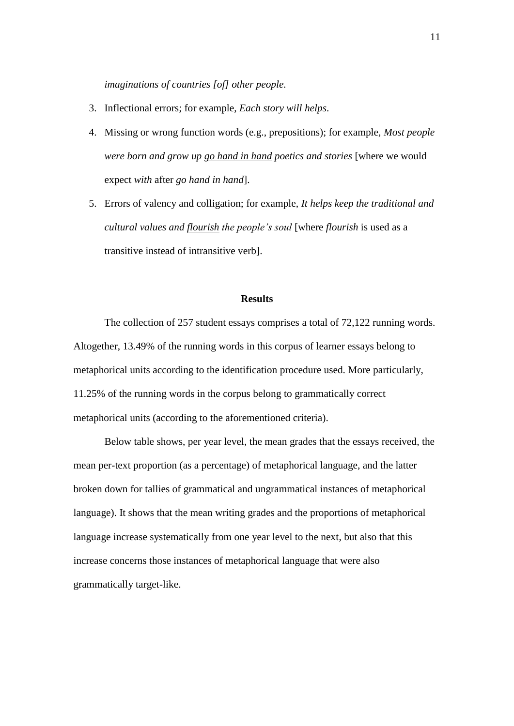*imaginations of countries [of] other people.*

- 3. Inflectional errors; for example, *Each story will helps*.
- 4. Missing or wrong function words (e.g., prepositions); for example, *Most people were born and grow up go hand in hand poetics and stories* [where we would expect *with* after *go hand in hand*].
- 5. Errors of valency and colligation; for example, *It helps keep the traditional and cultural values and flourish the people's soul* [where *flourish* is used as a transitive instead of intransitive verb].

# **Results**

The collection of 257 student essays comprises a total of 72,122 running words. Altogether, 13.49% of the running words in this corpus of learner essays belong to metaphorical units according to the identification procedure used. More particularly, 11.25% of the running words in the corpus belong to grammatically correct metaphorical units (according to the aforementioned criteria).

Below table shows, per year level, the mean grades that the essays received, the mean per-text proportion (as a percentage) of metaphorical language, and the latter broken down for tallies of grammatical and ungrammatical instances of metaphorical language). It shows that the mean writing grades and the proportions of metaphorical language increase systematically from one year level to the next, but also that this increase concerns those instances of metaphorical language that were also grammatically target-like.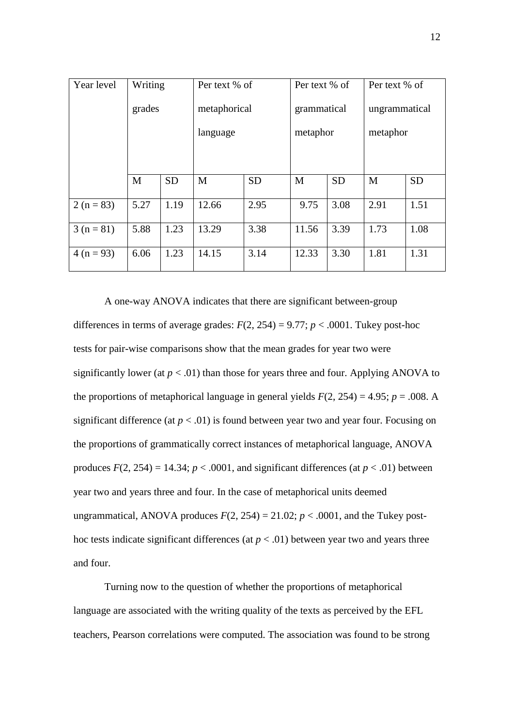| Year level   | Writing |           | Per text % of |           | Per text % of |           | Per text % of |           |
|--------------|---------|-----------|---------------|-----------|---------------|-----------|---------------|-----------|
|              | grades  |           | metaphorical  |           | grammatical   |           | ungrammatical |           |
|              |         |           | language      |           | metaphor      |           | metaphor      |           |
|              |         |           |               |           |               |           |               |           |
|              | M       | <b>SD</b> | M             | <b>SD</b> | M             | <b>SD</b> | M             | <b>SD</b> |
| $2 (n = 83)$ | 5.27    | 1.19      | 12.66         | 2.95      | 9.75          | 3.08      | 2.91          | 1.51      |
| $3(n=81)$    | 5.88    | 1.23      | 13.29         | 3.38      | 11.56         | 3.39      | 1.73          | 1.08      |
| $4(n=93)$    | 6.06    | 1.23      | 14.15         | 3.14      | 12.33         | 3.30      | 1.81          | 1.31      |

A one-way ANOVA indicates that there are significant between-group differences in terms of average grades:  $F(2, 254) = 9.77$ ;  $p < .0001$ . Tukey post-hoc tests for pair-wise comparisons show that the mean grades for year two were significantly lower (at  $p < .01$ ) than those for years three and four. Applying ANOVA to the proportions of metaphorical language in general yields  $F(2, 254) = 4.95$ ;  $p = .008$ . A significant difference (at  $p < .01$ ) is found between year two and year four. Focusing on the proportions of grammatically correct instances of metaphorical language, ANOVA produces  $F(2, 254) = 14.34$ ;  $p < .0001$ , and significant differences (at  $p < .01$ ) between year two and years three and four. In the case of metaphorical units deemed ungrammatical, ANOVA produces  $F(2, 254) = 21.02$ ;  $p < .0001$ , and the Tukey posthoc tests indicate significant differences (at  $p < .01$ ) between year two and years three and four.

Turning now to the question of whether the proportions of metaphorical language are associated with the writing quality of the texts as perceived by the EFL teachers, Pearson correlations were computed. The association was found to be strong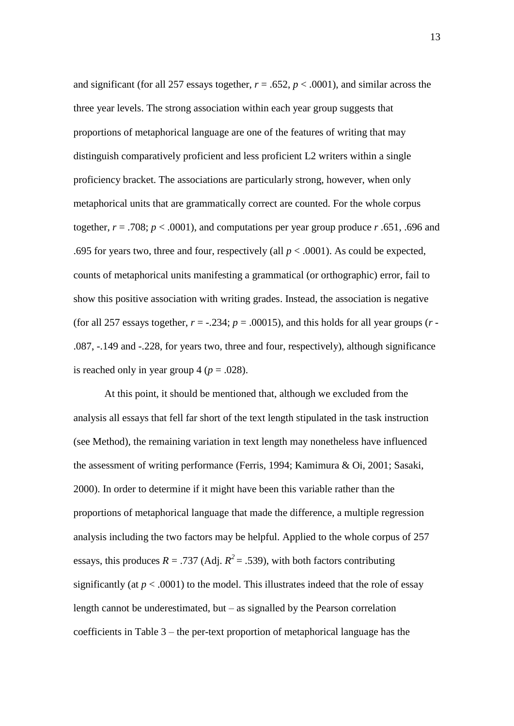and significant (for all 257 essays together,  $r = .652$ ,  $p < .0001$ ), and similar across the three year levels. The strong association within each year group suggests that proportions of metaphorical language are one of the features of writing that may distinguish comparatively proficient and less proficient L2 writers within a single proficiency bracket. The associations are particularly strong, however, when only metaphorical units that are grammatically correct are counted. For the whole corpus together,  $r = .708$ ;  $p < .0001$ ), and computations per year group produce *r* .651, .696 and .695 for years two, three and four, respectively (all  $p < .0001$ ). As could be expected, counts of metaphorical units manifesting a grammatical (or orthographic) error, fail to show this positive association with writing grades. Instead, the association is negative (for all 257 essays together,  $r = -.234$ ;  $p = .00015$ ), and this holds for all year groups ( $r =$ .087, -.149 and -.228, for years two, three and four, respectively), although significance is reached only in year group  $4 (p = .028)$ .

At this point, it should be mentioned that, although we excluded from the analysis all essays that fell far short of the text length stipulated in the task instruction (see Method), the remaining variation in text length may nonetheless have influenced the assessment of writing performance (Ferris, 1994; Kamimura & Oi, 2001; Sasaki, 2000). In order to determine if it might have been this variable rather than the proportions of metaphorical language that made the difference, a multiple regression analysis including the two factors may be helpful. Applied to the whole corpus of 257 essays, this produces  $R = .737$  (Adj.  $R^2 = .539$ ), with both factors contributing significantly (at  $p < .0001$ ) to the model. This illustrates indeed that the role of essay length cannot be underestimated, but  $-$  as signalled by the Pearson correlation coefficients in Table 3 – the per-text proportion of metaphorical language has the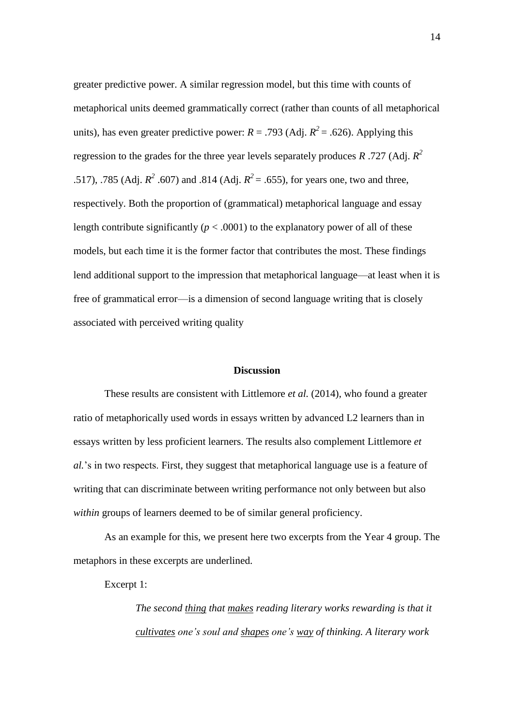greater predictive power. A similar regression model, but this time with counts of metaphorical units deemed grammatically correct (rather than counts of all metaphorical units), has even greater predictive power:  $R = .793$  (Adj.  $R^2 = .626$ ). Applying this regression to the grades for the three year levels separately produces *R* .727 (Adj. *R 2* .517), .785 (Adj.  $R^2$  .607) and .814 (Adj.  $R^2 = .655$ ), for years one, two and three, respectively. Both the proportion of (grammatical) metaphorical language and essay length contribute significantly ( $p < .0001$ ) to the explanatory power of all of these models, but each time it is the former factor that contributes the most. These findings lend additional support to the impression that metaphorical language—at least when it is free of grammatical error—is a dimension of second language writing that is closely associated with perceived writing quality

# **Discussion**

These results are consistent with Littlemore *et al.* (2014), who found a greater ratio of metaphorically used words in essays written by advanced L2 learners than in essays written by less proficient learners. The results also complement Littlemore *et al.*'s in two respects. First, they suggest that metaphorical language use is a feature of writing that can discriminate between writing performance not only between but also *within* groups of learners deemed to be of similar general proficiency.

As an example for this, we present here two excerpts from the Year 4 group. The metaphors in these excerpts are underlined.

Excerpt 1:

*The second thing that makes reading literary works rewarding is that it cultivates one's soul and shapes one's way of thinking. A literary work*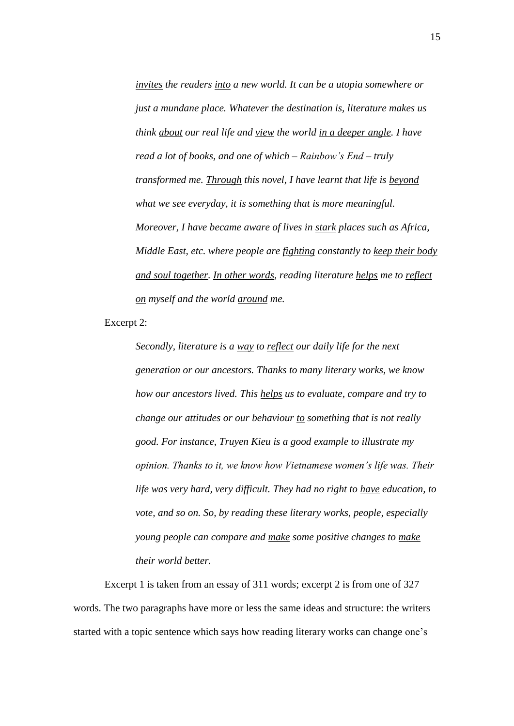*invites the readers into a new world. It can be a utopia somewhere or just a mundane place. Whatever the destination is, literature makes us think about our real life and view the world in a deeper angle. I have read a lot of books, and one of which – Rainbow's End – truly transformed me. Through this novel, I have learnt that life is beyond what we see everyday, it is something that is more meaningful. Moreover, I have became aware of lives in stark places such as Africa, Middle East, etc. where people are fighting constantly to keep their body and soul together. In other words, reading literature helps me to reflect on myself and the world around me.*

Excerpt 2:

*Secondly, literature is a way to reflect our daily life for the next generation or our ancestors. Thanks to many literary works, we know how our ancestors lived. This helps us to evaluate, compare and try to change our attitudes or our behaviour to something that is not really good. For instance, Truyen Kieu is a good example to illustrate my opinion. Thanks to it, we know how Vietnamese women's life was. Their life was very hard, very difficult. They had no right to have education, to vote, and so on. So, by reading these literary works, people, especially young people can compare and make some positive changes to make their world better.*

Excerpt 1 is taken from an essay of 311 words; excerpt 2 is from one of 327 words. The two paragraphs have more or less the same ideas and structure: the writers started with a topic sentence which says how reading literary works can change one's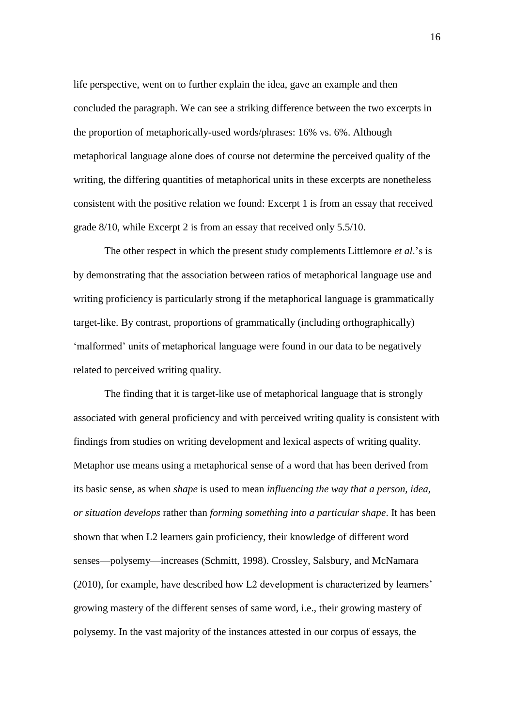life perspective, went on to further explain the idea, gave an example and then concluded the paragraph. We can see a striking difference between the two excerpts in the proportion of metaphorically-used words/phrases: 16% vs. 6%. Although metaphorical language alone does of course not determine the perceived quality of the writing, the differing quantities of metaphorical units in these excerpts are nonetheless consistent with the positive relation we found: Excerpt 1 is from an essay that received grade 8/10, while Excerpt 2 is from an essay that received only 5.5/10.

The other respect in which the present study complements Littlemore *et al*.'s is by demonstrating that the association between ratios of metaphorical language use and writing proficiency is particularly strong if the metaphorical language is grammatically target-like. By contrast, proportions of grammatically (including orthographically) 'malformed' units of metaphorical language were found in our data to be negatively related to perceived writing quality.

The finding that it is target-like use of metaphorical language that is strongly associated with general proficiency and with perceived writing quality is consistent with findings from studies on writing development and lexical aspects of writing quality. Metaphor use means using a metaphorical sense of a word that has been derived from its basic sense, as when *shape* is used to mean *influencing the way that a person, idea, or situation develops* rather than *forming something into a particular shape*. It has been shown that when L2 learners gain proficiency, their knowledge of different word senses—polysemy—increases (Schmitt, 1998). Crossley, Salsbury, and McNamara (2010), for example, have described how L2 development is characterized by learners' growing mastery of the different senses of same word, i.e., their growing mastery of polysemy. In the vast majority of the instances attested in our corpus of essays, the

16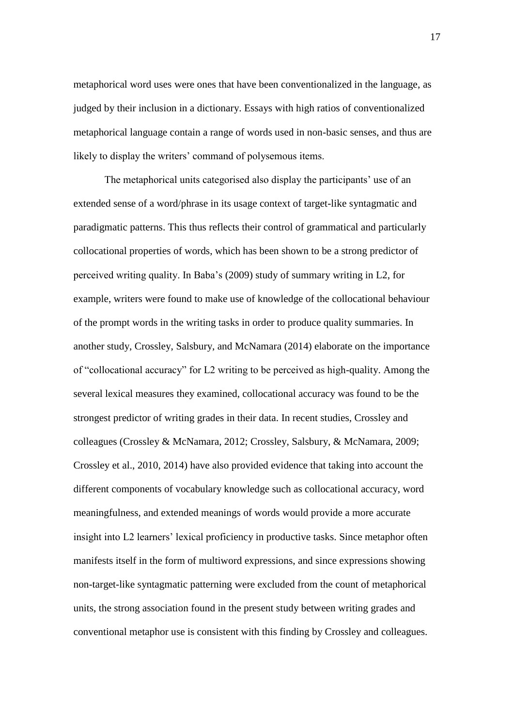metaphorical word uses were ones that have been conventionalized in the language, as judged by their inclusion in a dictionary. Essays with high ratios of conventionalized metaphorical language contain a range of words used in non-basic senses, and thus are likely to display the writers' command of polysemous items.

The metaphorical units categorised also display the participants' use of an extended sense of a word/phrase in its usage context of target-like syntagmatic and paradigmatic patterns. This thus reflects their control of grammatical and particularly collocational properties of words, which has been shown to be a strong predictor of perceived writing quality. In Baba's (2009) study of summary writing in L2, for example, writers were found to make use of knowledge of the collocational behaviour of the prompt words in the writing tasks in order to produce quality summaries. In another study, Crossley, Salsbury, and McNamara (2014) elaborate on the importance of "collocational accuracy" for L2 writing to be perceived as high-quality. Among the several lexical measures they examined, collocational accuracy was found to be the strongest predictor of writing grades in their data. In recent studies, Crossley and colleagues (Crossley & McNamara, 2012; Crossley, Salsbury, & McNamara, 2009; Crossley et al., 2010, 2014) have also provided evidence that taking into account the different components of vocabulary knowledge such as collocational accuracy, word meaningfulness, and extended meanings of words would provide a more accurate insight into L2 learners' lexical proficiency in productive tasks. Since metaphor often manifests itself in the form of multiword expressions, and since expressions showing non-target-like syntagmatic patterning were excluded from the count of metaphorical units, the strong association found in the present study between writing grades and conventional metaphor use is consistent with this finding by Crossley and colleagues.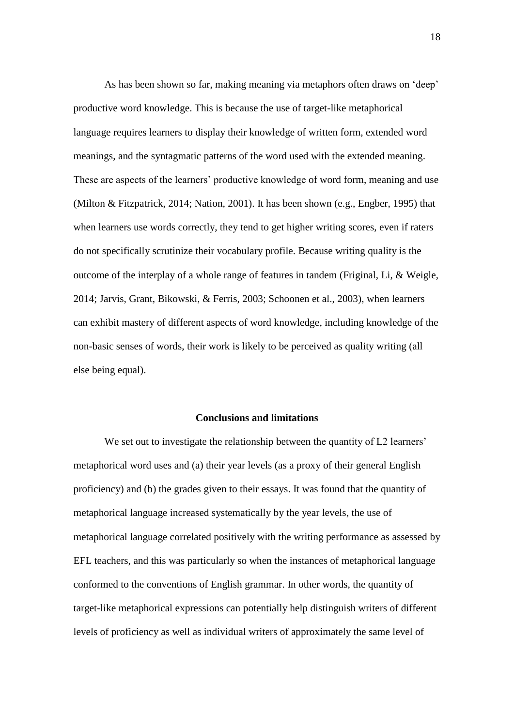As has been shown so far, making meaning via metaphors often draws on 'deep' productive word knowledge. This is because the use of target-like metaphorical language requires learners to display their knowledge of written form, extended word meanings, and the syntagmatic patterns of the word used with the extended meaning. These are aspects of the learners' productive knowledge of word form, meaning and use (Milton & Fitzpatrick, 2014; Nation, 2001). It has been shown (e.g., Engber, 1995) that when learners use words correctly, they tend to get higher writing scores, even if raters do not specifically scrutinize their vocabulary profile. Because writing quality is the outcome of the interplay of a whole range of features in tandem (Friginal, Li, & Weigle, 2014; Jarvis, Grant, Bikowski, & Ferris, 2003; Schoonen et al., 2003), when learners can exhibit mastery of different aspects of word knowledge, including knowledge of the non-basic senses of words, their work is likely to be perceived as quality writing (all else being equal).

# **Conclusions and limitations**

We set out to investigate the relationship between the quantity of L2 learners' metaphorical word uses and (a) their year levels (as a proxy of their general English proficiency) and (b) the grades given to their essays. It was found that the quantity of metaphorical language increased systematically by the year levels, the use of metaphorical language correlated positively with the writing performance as assessed by EFL teachers, and this was particularly so when the instances of metaphorical language conformed to the conventions of English grammar. In other words, the quantity of target-like metaphorical expressions can potentially help distinguish writers of different levels of proficiency as well as individual writers of approximately the same level of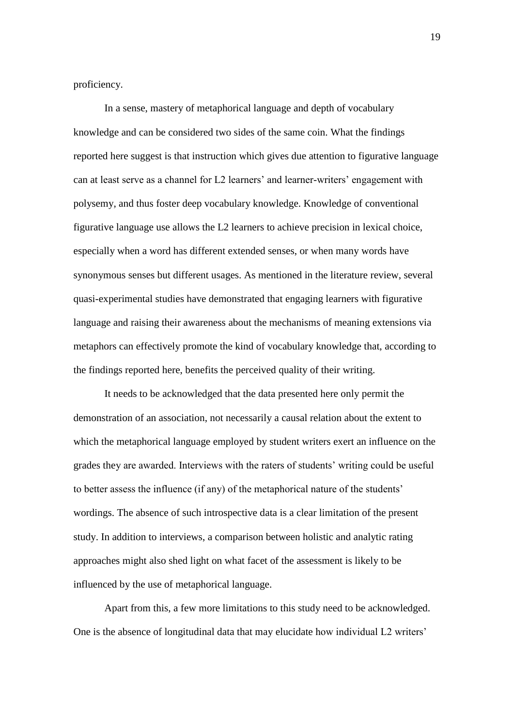proficiency.

In a sense, mastery of metaphorical language and depth of vocabulary knowledge and can be considered two sides of the same coin. What the findings reported here suggest is that instruction which gives due attention to figurative language can at least serve as a channel for L2 learners' and learner-writers' engagement with polysemy, and thus foster deep vocabulary knowledge. Knowledge of conventional figurative language use allows the L2 learners to achieve precision in lexical choice, especially when a word has different extended senses, or when many words have synonymous senses but different usages. As mentioned in the literature review, several quasi-experimental studies have demonstrated that engaging learners with figurative language and raising their awareness about the mechanisms of meaning extensions via metaphors can effectively promote the kind of vocabulary knowledge that, according to the findings reported here, benefits the perceived quality of their writing.

It needs to be acknowledged that the data presented here only permit the demonstration of an association, not necessarily a causal relation about the extent to which the metaphorical language employed by student writers exert an influence on the grades they are awarded. Interviews with the raters of students' writing could be useful to better assess the influence (if any) of the metaphorical nature of the students' wordings. The absence of such introspective data is a clear limitation of the present study. In addition to interviews, a comparison between holistic and analytic rating approaches might also shed light on what facet of the assessment is likely to be influenced by the use of metaphorical language.

Apart from this, a few more limitations to this study need to be acknowledged. One is the absence of longitudinal data that may elucidate how individual L2 writers'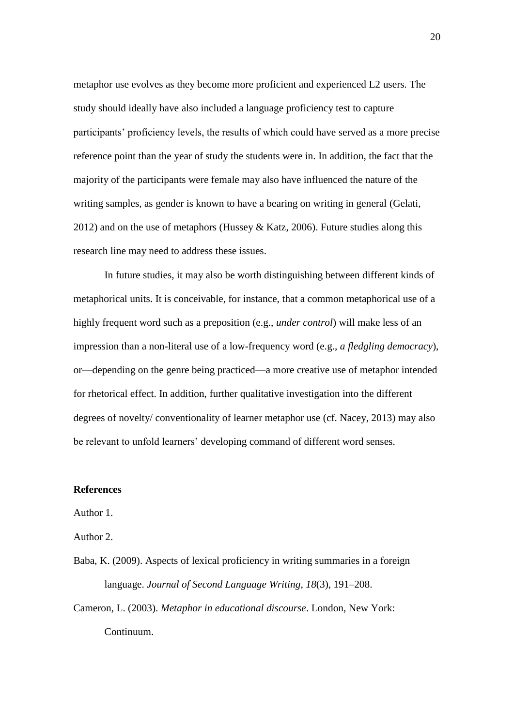metaphor use evolves as they become more proficient and experienced L2 users. The study should ideally have also included a language proficiency test to capture participants' proficiency levels, the results of which could have served as a more precise reference point than the year of study the students were in. In addition, the fact that the majority of the participants were female may also have influenced the nature of the writing samples, as gender is known to have a bearing on writing in general (Gelati, 2012) and on the use of metaphors (Hussey & Katz, 2006). Future studies along this research line may need to address these issues.

In future studies, it may also be worth distinguishing between different kinds of metaphorical units. It is conceivable, for instance, that a common metaphorical use of a highly frequent word such as a preposition (e.g., *under control*) will make less of an impression than a non-literal use of a low-frequency word (e.g., *a fledgling democracy*), or—depending on the genre being practiced—a more creative use of metaphor intended for rhetorical effect. In addition, further qualitative investigation into the different degrees of novelty/ conventionality of learner metaphor use (cf. Nacey, 2013) may also be relevant to unfold learners' developing command of different word senses.

# **References**

# Author 1.

Author 2.

- Baba, K. (2009). Aspects of lexical proficiency in writing summaries in a foreign language. *Journal of Second Language Writing*, *18*(3), 191–208.
- Cameron, L. (2003). *Metaphor in educational discourse*. London, New York: Continuum.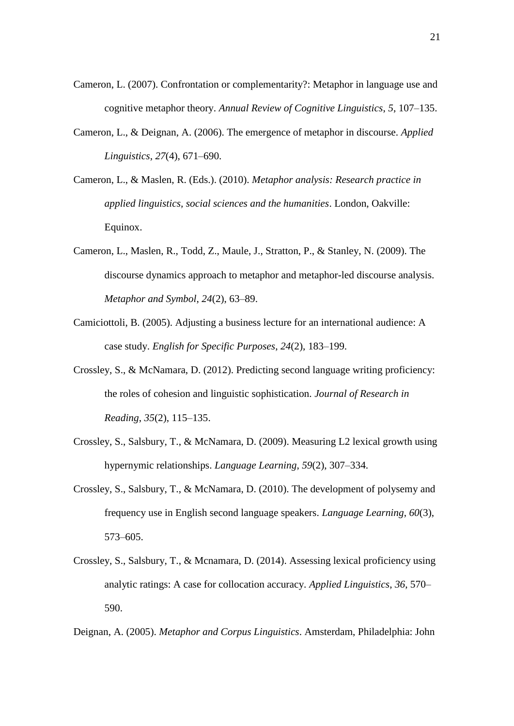- Cameron, L. (2007). Confrontation or complementarity?: Metaphor in language use and cognitive metaphor theory. *Annual Review of Cognitive Linguistics*, *5*, 107–135.
- Cameron, L., & Deignan, A. (2006). The emergence of metaphor in discourse. *Applied Linguistics*, *27*(4), 671–690.
- Cameron, L., & Maslen, R. (Eds.). (2010). *Metaphor analysis: Research practice in applied linguistics, social sciences and the humanities*. London, Oakville: Equinox.
- Cameron, L., Maslen, R., Todd, Z., Maule, J., Stratton, P., & Stanley, N. (2009). The discourse dynamics approach to metaphor and metaphor-led discourse analysis. *Metaphor and Symbol*, *24*(2), 63–89.
- Camiciottoli, B. (2005). Adjusting a business lecture for an international audience: A case study. *English for Specific Purposes*, *24*(2), 183–199.
- Crossley, S., & McNamara, D. (2012). Predicting second language writing proficiency: the roles of cohesion and linguistic sophistication. *Journal of Research in Reading*, *35*(2), 115–135.
- Crossley, S., Salsbury, T., & McNamara, D. (2009). Measuring L2 lexical growth using hypernymic relationships. *Language Learning*, *59*(2), 307–334.
- Crossley, S., Salsbury, T., & McNamara, D. (2010). The development of polysemy and frequency use in English second language speakers. *Language Learning*, *60*(3), 573–605.
- Crossley, S., Salsbury, T., & Mcnamara, D. (2014). Assessing lexical proficiency using analytic ratings: A case for collocation accuracy. *Applied Linguistics*, *36*, 570– 590.

Deignan, A. (2005). *Metaphor and Corpus Linguistics*. Amsterdam, Philadelphia: John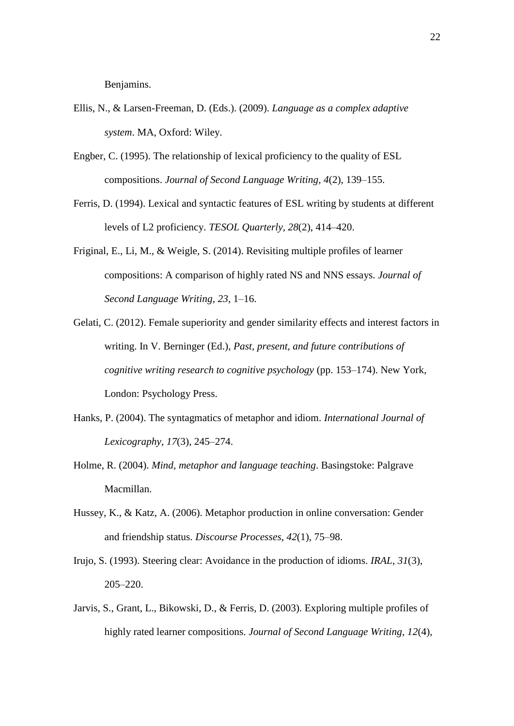Benjamins.

- Ellis, N., & Larsen-Freeman, D. (Eds.). (2009). *Language as a complex adaptive system*. MA, Oxford: Wiley.
- Engber, C. (1995). The relationship of lexical proficiency to the quality of ESL compositions. *Journal of Second Language Writing*, *4*(2), 139–155.
- Ferris, D. (1994). Lexical and syntactic features of ESL writing by students at different levels of L2 proficiency. *TESOL Quarterly*, *28*(2), 414–420.
- Friginal, E., Li, M., & Weigle, S. (2014). Revisiting multiple profiles of learner compositions: A comparison of highly rated NS and NNS essays. *Journal of Second Language Writing*, *23*, 1–16.
- Gelati, C. (2012). Female superiority and gender similarity effects and interest factors in writing. In V. Berninger (Ed.), *Past, present, and future contributions of cognitive writing research to cognitive psychology* (pp. 153–174). New York, London: Psychology Press.
- Hanks, P. (2004). The syntagmatics of metaphor and idiom. *International Journal of Lexicography*, *17*(3), 245–274.
- Holme, R. (2004). *Mind, metaphor and language teaching*. Basingstoke: Palgrave Macmillan.
- Hussey, K., & Katz, A. (2006). Metaphor production in online conversation: Gender and friendship status. *Discourse Processes*, *42*(1), 75–98.
- Irujo, S. (1993). Steering clear: Avoidance in the production of idioms. *IRAL*, *31*(3), 205–220.
- Jarvis, S., Grant, L., Bikowski, D., & Ferris, D. (2003). Exploring multiple profiles of highly rated learner compositions. *Journal of Second Language Writing*, *12*(4),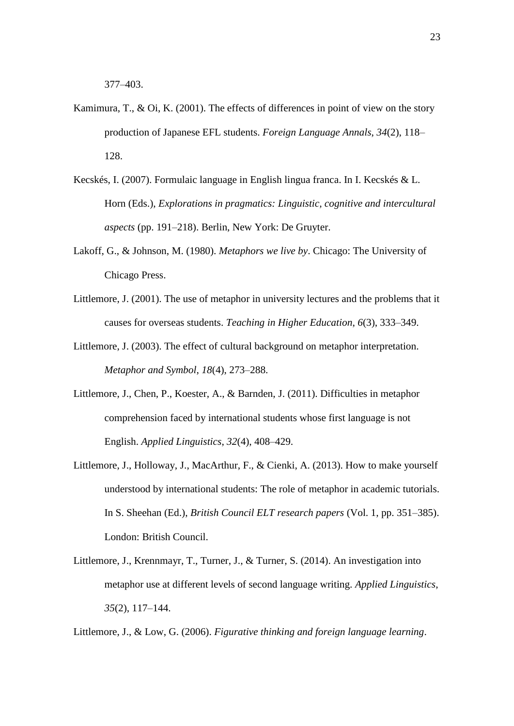377–403.

- Kamimura, T., & Oi, K. (2001). The effects of differences in point of view on the story production of Japanese EFL students. *Foreign Language Annals*, *34*(2), 118– 128.
- Kecskés, I. (2007). Formulaic language in English lingua franca. In I. Kecskés & L. Horn (Eds.), *Explorations in pragmatics: Linguistic, cognitive and intercultural aspects* (pp. 191–218). Berlin, New York: De Gruyter.
- Lakoff, G., & Johnson, M. (1980). *Metaphors we live by*. Chicago: The University of Chicago Press.
- Littlemore, J. (2001). The use of metaphor in university lectures and the problems that it causes for overseas students. *Teaching in Higher Education*, *6*(3), 333–349.
- Littlemore, J. (2003). The effect of cultural background on metaphor interpretation. *Metaphor and Symbol*, *18*(4), 273–288.
- Littlemore, J., Chen, P., Koester, A., & Barnden, J. (2011). Difficulties in metaphor comprehension faced by international students whose first language is not English. *Applied Linguistics*, *32*(4), 408–429.
- Littlemore, J., Holloway, J., MacArthur, F., & Cienki, A. (2013). How to make yourself understood by international students: The role of metaphor in academic tutorials. In S. Sheehan (Ed.), *British Council ELT research papers* (Vol. 1, pp. 351–385). London: British Council.
- Littlemore, J., Krennmayr, T., Turner, J., & Turner, S. (2014). An investigation into metaphor use at different levels of second language writing. *Applied Linguistics*, *35*(2), 117–144.

Littlemore, J., & Low, G. (2006). *Figurative thinking and foreign language learning*.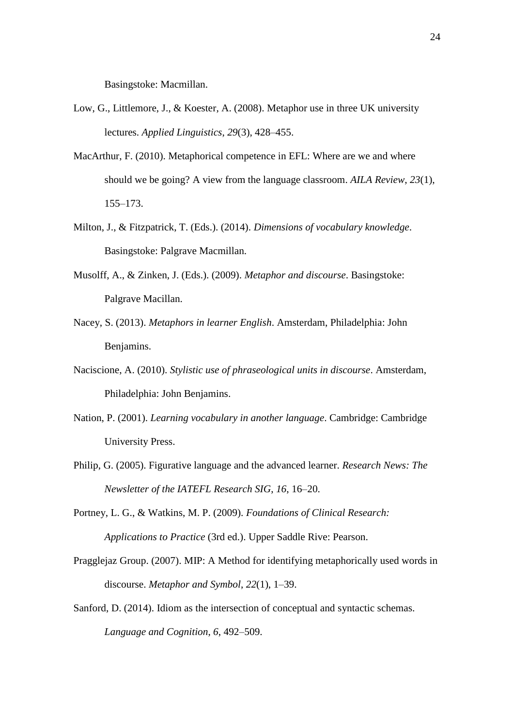Basingstoke: Macmillan.

- Low, G., Littlemore, J., & Koester, A. (2008). Metaphor use in three UK university lectures. *Applied Linguistics*, *29*(3), 428–455.
- MacArthur, F. (2010). Metaphorical competence in EFL: Where are we and where should we be going? A view from the language classroom. *AILA Review*, *23*(1), 155–173.
- Milton, J., & Fitzpatrick, T. (Eds.). (2014). *Dimensions of vocabulary knowledge*. Basingstoke: Palgrave Macmillan.
- Musolff, A., & Zinken, J. (Eds.). (2009). *Metaphor and discourse*. Basingstoke: Palgrave Macillan.
- Nacey, S. (2013). *Metaphors in learner English*. Amsterdam, Philadelphia: John Benjamins.
- Naciscione, A. (2010). *Stylistic use of phraseological units in discourse*. Amsterdam, Philadelphia: John Benjamins.
- Nation, P. (2001). *Learning vocabulary in another language*. Cambridge: Cambridge University Press.
- Philip, G. (2005). Figurative language and the advanced learner. *Research News: The Newsletter of the IATEFL Research SIG*, *16*, 16–20.
- Portney, L. G., & Watkins, M. P. (2009). *Foundations of Clinical Research: Applications to Practice* (3rd ed.). Upper Saddle Rive: Pearson.
- Pragglejaz Group. (2007). MIP: A Method for identifying metaphorically used words in discourse. *Metaphor and Symbol*, *22*(1), 1–39.
- Sanford, D. (2014). Idiom as the intersection of conceptual and syntactic schemas. *Language and Cognition*, *6*, 492–509.